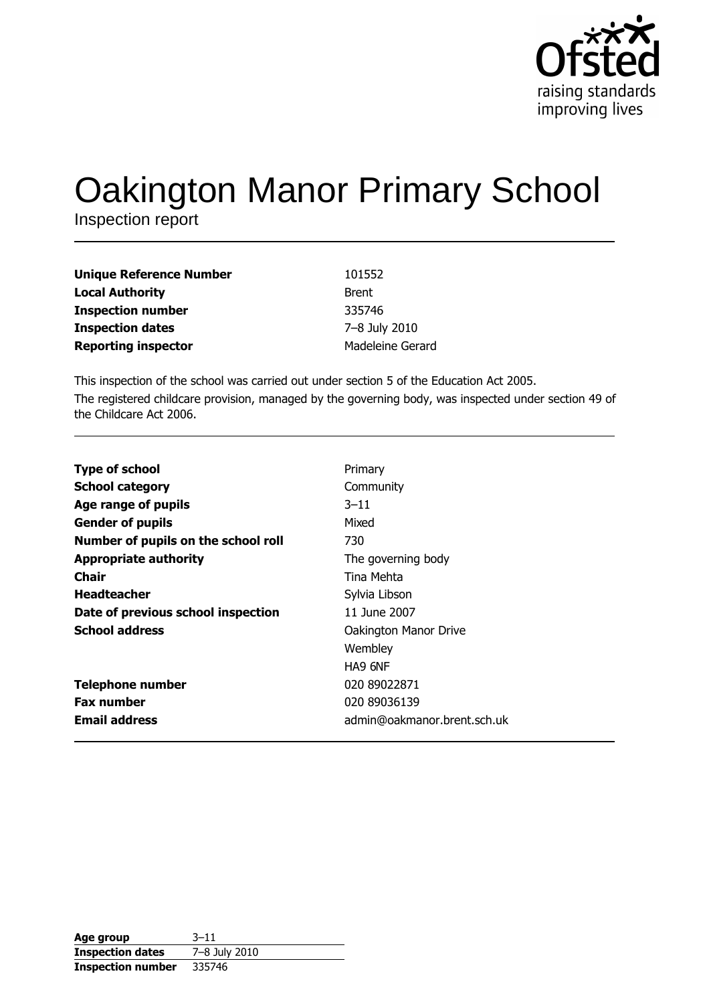

# **Oakington Manor Primary School**

Inspection report

| <b>Unique Reference Number</b> | 101552           |
|--------------------------------|------------------|
| <b>Local Authority</b>         | <b>Brent</b>     |
| <b>Inspection number</b>       | 335746           |
| <b>Inspection dates</b>        | 7-8 July 2010    |
| <b>Reporting inspector</b>     | Madeleine Gerard |

This inspection of the school was carried out under section 5 of the Education Act 2005. The registered childcare provision, managed by the governing body, was inspected under section 49 of the Childcare Act 2006.

| <b>Type of school</b>               | Primary                     |
|-------------------------------------|-----------------------------|
| <b>School category</b>              | Community                   |
| Age range of pupils                 | $3 - 11$                    |
| <b>Gender of pupils</b>             | Mixed                       |
| Number of pupils on the school roll | 730                         |
| <b>Appropriate authority</b>        | The governing body          |
| <b>Chair</b>                        | Tina Mehta                  |
| <b>Headteacher</b>                  | Sylvia Libson               |
| Date of previous school inspection  | 11 June 2007                |
| <b>School address</b>               | Oakington Manor Drive       |
|                                     | Wembley                     |
|                                     | HA9 6NF                     |
| <b>Telephone number</b>             | 020 89022871                |
| <b>Fax number</b>                   | 020 89036139                |
| <b>Email address</b>                | admin@oakmanor.brent.sch.uk |

| Age group                | $3 - 11$      |
|--------------------------|---------------|
| <b>Inspection dates</b>  | 7-8 July 2010 |
| <b>Inspection number</b> | 335746        |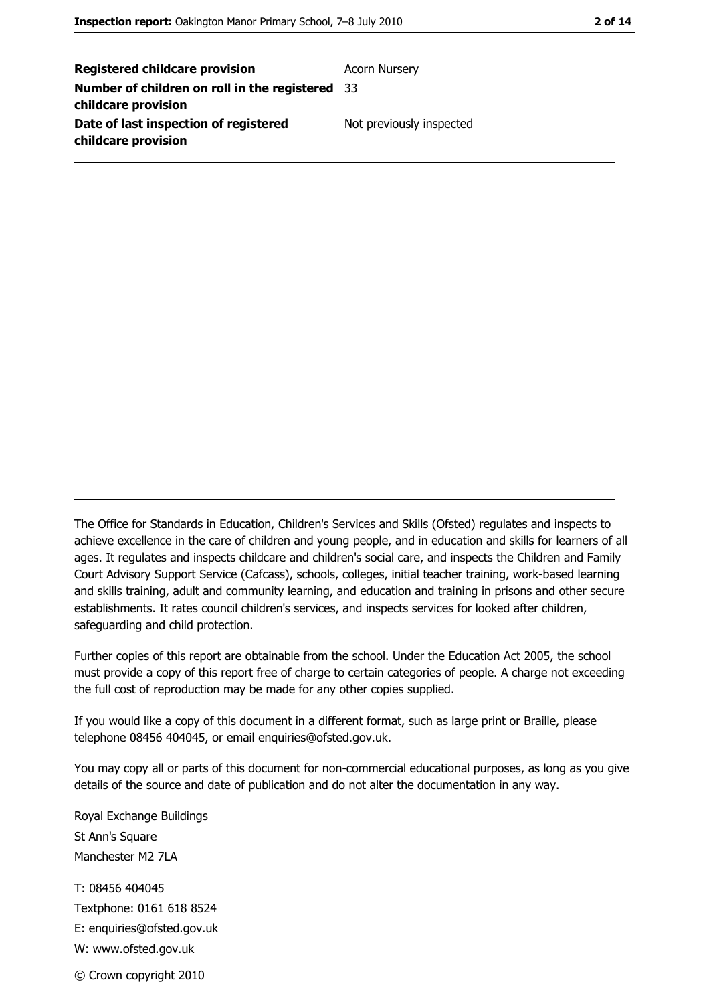| <b>Registered childcare provision</b>                  | <b>Acorn Nursery</b>     |
|--------------------------------------------------------|--------------------------|
| <b>Number of children on roll in the registered</b> 33 |                          |
| childcare provision                                    |                          |
| Date of last inspection of registered                  | Not previously inspected |
| childcare provision                                    |                          |

The Office for Standards in Education, Children's Services and Skills (Ofsted) regulates and inspects to achieve excellence in the care of children and young people, and in education and skills for learners of all ages. It regulates and inspects childcare and children's social care, and inspects the Children and Family Court Advisory Support Service (Cafcass), schools, colleges, initial teacher training, work-based learning and skills training, adult and community learning, and education and training in prisons and other secure establishments. It rates council children's services, and inspects services for looked after children, safequarding and child protection.

Further copies of this report are obtainable from the school. Under the Education Act 2005, the school must provide a copy of this report free of charge to certain categories of people. A charge not exceeding the full cost of reproduction may be made for any other copies supplied.

If you would like a copy of this document in a different format, such as large print or Braille, please telephone 08456 404045, or email enquiries@ofsted.gov.uk.

You may copy all or parts of this document for non-commercial educational purposes, as long as you give details of the source and date of publication and do not alter the documentation in any way.

Royal Exchange Buildings St Ann's Square Manchester M2 7LA T: 08456 404045 Textphone: 0161 618 8524 E: enquiries@ofsted.gov.uk W: www.ofsted.gov.uk © Crown copyright 2010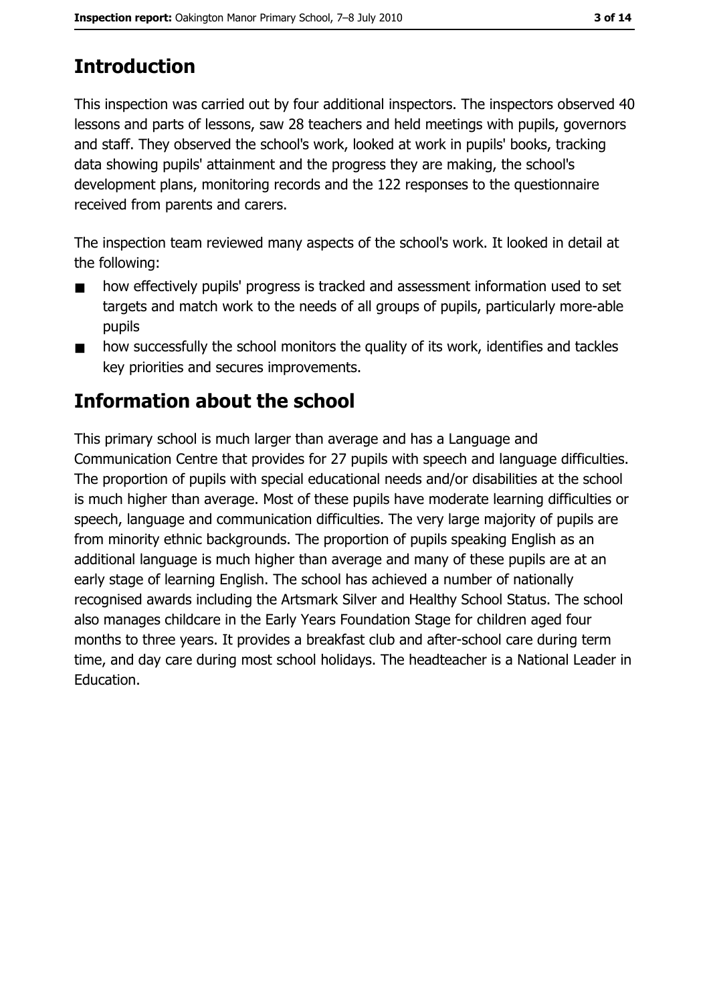# **Introduction**

This inspection was carried out by four additional inspectors. The inspectors observed 40 lessons and parts of lessons, saw 28 teachers and held meetings with pupils, governors and staff. They observed the school's work, looked at work in pupils' books, tracking data showing pupils' attainment and the progress they are making, the school's development plans, monitoring records and the 122 responses to the questionnaire received from parents and carers.

The inspection team reviewed many aspects of the school's work. It looked in detail at the following:

- how effectively pupils' progress is tracked and assessment information used to set  $\blacksquare$ targets and match work to the needs of all groups of pupils, particularly more-able pupils
- how successfully the school monitors the quality of its work, identifies and tackles  $\blacksquare$ key priorities and secures improvements.

# **Information about the school**

This primary school is much larger than average and has a Language and Communication Centre that provides for 27 pupils with speech and language difficulties. The proportion of pupils with special educational needs and/or disabilities at the school is much higher than average. Most of these pupils have moderate learning difficulties or speech, language and communication difficulties. The very large majority of pupils are from minority ethnic backgrounds. The proportion of pupils speaking English as an additional language is much higher than average and many of these pupils are at an early stage of learning English. The school has achieved a number of nationally recognised awards including the Artsmark Silver and Healthy School Status. The school also manages childcare in the Early Years Foundation Stage for children aged four months to three years. It provides a breakfast club and after-school care during term time, and day care during most school holidays. The headteacher is a National Leader in Education.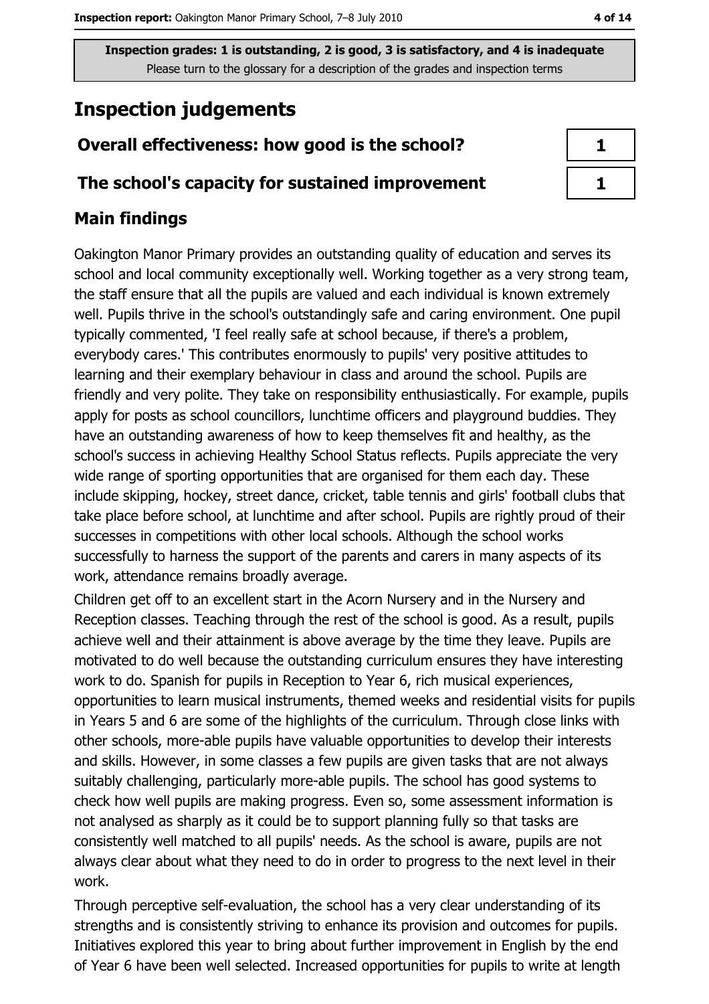# **Inspection judgements**

## Overall effectiveness: how good is the school?

### The school's capacity for sustained improvement

## **Main findings**

Oakington Manor Primary provides an outstanding quality of education and serves its school and local community exceptionally well. Working together as a very strong team, the staff ensure that all the pupils are valued and each individual is known extremely well. Pupils thrive in the school's outstandingly safe and caring environment. One pupil typically commented, 'I feel really safe at school because, if there's a problem, everybody cares.' This contributes enormously to pupils' very positive attitudes to learning and their exemplary behaviour in class and around the school. Pupils are friendly and very polite. They take on responsibility enthusiastically. For example, pupils apply for posts as school councillors, lunchtime officers and playground buddies. They have an outstanding awareness of how to keep themselves fit and healthy, as the school's success in achieving Healthy School Status reflects. Pupils appreciate the very wide range of sporting opportunities that are organised for them each day. These include skipping, hockey, street dance, cricket, table tennis and girls' football clubs that take place before school, at lunchtime and after school. Pupils are rightly proud of their successes in competitions with other local schools. Although the school works successfully to harness the support of the parents and carers in many aspects of its work, attendance remains broadly average.

Children get off to an excellent start in the Acorn Nursery and in the Nursery and Reception classes. Teaching through the rest of the school is good. As a result, pupils achieve well and their attainment is above average by the time they leave. Pupils are motivated to do well because the outstanding curriculum ensures they have interesting work to do. Spanish for pupils in Reception to Year 6, rich musical experiences, opportunities to learn musical instruments, themed weeks and residential visits for pupils in Years 5 and 6 are some of the highlights of the curriculum. Through close links with other schools, more-able pupils have valuable opportunities to develop their interests and skills. However, in some classes a few pupils are given tasks that are not always suitably challenging, particularly more-able pupils. The school has good systems to check how well pupils are making progress. Even so, some assessment information is not analysed as sharply as it could be to support planning fully so that tasks are consistently well matched to all pupils' needs. As the school is aware, pupils are not always clear about what they need to do in order to progress to the next level in their work.

Through perceptive self-evaluation, the school has a very clear understanding of its strengths and is consistently striving to enhance its provision and outcomes for pupils. Initiatives explored this year to bring about further improvement in English by the end of Year 6 have been well selected. Increased opportunities for pupils to write at length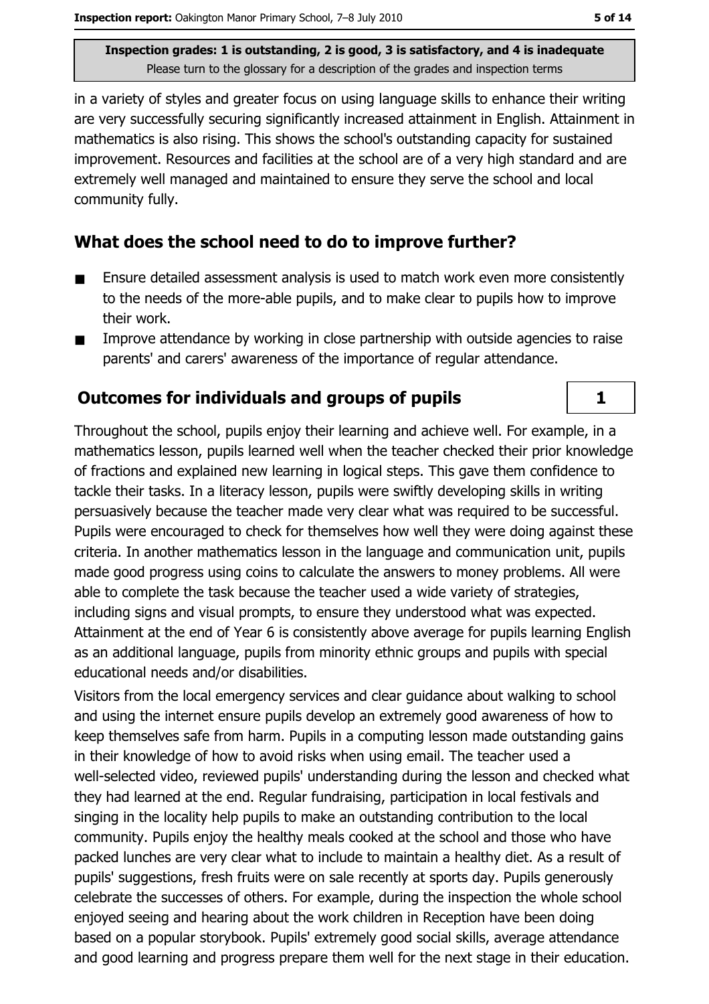in a variety of styles and greater focus on using language skills to enhance their writing are very successfully securing significantly increased attainment in English. Attainment in mathematics is also rising. This shows the school's outstanding capacity for sustained improvement. Resources and facilities at the school are of a very high standard and are extremely well managed and maintained to ensure they serve the school and local community fully.

## What does the school need to do to improve further?

- Ensure detailed assessment analysis is used to match work even more consistently  $\blacksquare$ to the needs of the more-able pupils, and to make clear to pupils how to improve their work.
- Improve attendance by working in close partnership with outside agencies to raise  $\blacksquare$ parents' and carers' awareness of the importance of regular attendance.

## **Outcomes for individuals and groups of pupils**

Throughout the school, pupils enjoy their learning and achieve well. For example, in a mathematics lesson, pupils learned well when the teacher checked their prior knowledge of fractions and explained new learning in logical steps. This gave them confidence to tackle their tasks. In a literacy lesson, pupils were swiftly developing skills in writing persuasively because the teacher made very clear what was required to be successful. Pupils were encouraged to check for themselves how well they were doing against these criteria. In another mathematics lesson in the language and communication unit, pupils made good progress using coins to calculate the answers to money problems. All were able to complete the task because the teacher used a wide variety of strategies, including signs and visual prompts, to ensure they understood what was expected. Attainment at the end of Year 6 is consistently above average for pupils learning English as an additional language, pupils from minority ethnic groups and pupils with special educational needs and/or disabilities.

Visitors from the local emergency services and clear guidance about walking to school and using the internet ensure pupils develop an extremely good awareness of how to keep themselves safe from harm. Pupils in a computing lesson made outstanding gains in their knowledge of how to avoid risks when using email. The teacher used a well-selected video, reviewed pupils' understanding during the lesson and checked what they had learned at the end. Regular fundraising, participation in local festivals and singing in the locality help pupils to make an outstanding contribution to the local community. Pupils enjoy the healthy meals cooked at the school and those who have packed lunches are very clear what to include to maintain a healthy diet. As a result of pupils' suggestions, fresh fruits were on sale recently at sports day. Pupils generously celebrate the successes of others. For example, during the inspection the whole school enjoyed seeing and hearing about the work children in Reception have been doing based on a popular storybook. Pupils' extremely good social skills, average attendance and good learning and progress prepare them well for the next stage in their education.

 $\mathbf{1}$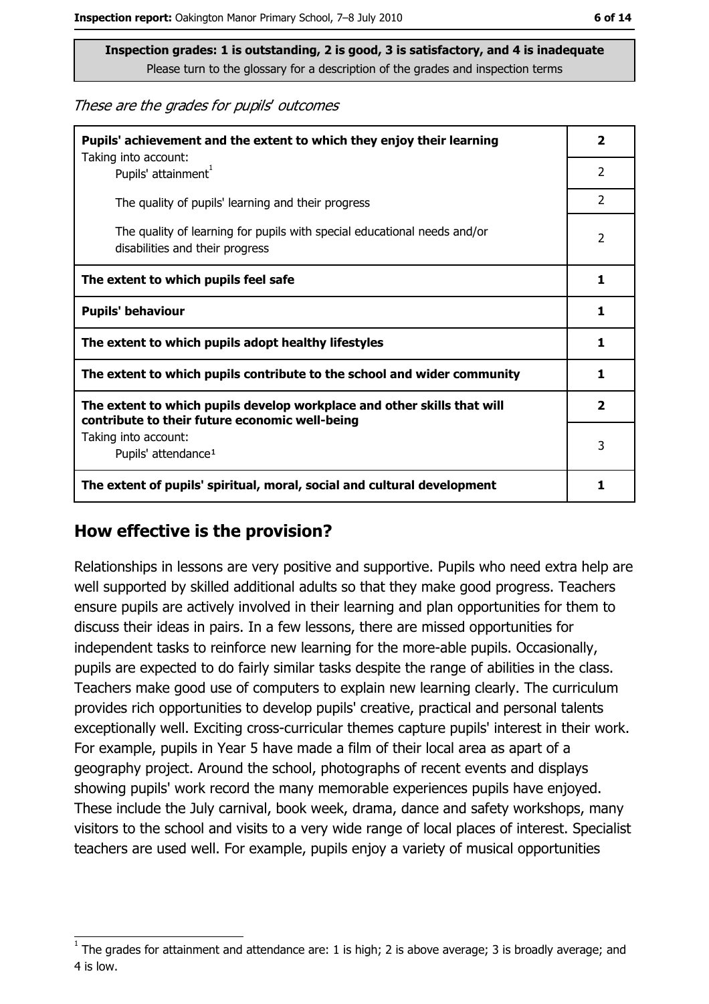These are the grades for pupils' outcomes

| Pupils' achievement and the extent to which they enjoy their learning<br>Taking into account:                             | $\overline{\mathbf{2}}$ |  |
|---------------------------------------------------------------------------------------------------------------------------|-------------------------|--|
| Pupils' attainment <sup>1</sup>                                                                                           | $\overline{2}$          |  |
| The quality of pupils' learning and their progress                                                                        | $\overline{2}$          |  |
| The quality of learning for pupils with special educational needs and/or<br>disabilities and their progress               | 2                       |  |
| The extent to which pupils feel safe                                                                                      | 1                       |  |
| <b>Pupils' behaviour</b>                                                                                                  | 1                       |  |
| The extent to which pupils adopt healthy lifestyles                                                                       | 1                       |  |
| The extent to which pupils contribute to the school and wider community                                                   |                         |  |
| The extent to which pupils develop workplace and other skills that will<br>contribute to their future economic well-being |                         |  |
| Taking into account:<br>Pupils' attendance <sup>1</sup>                                                                   | 3                       |  |
| The extent of pupils' spiritual, moral, social and cultural development                                                   | 1                       |  |

#### How effective is the provision?

Relationships in lessons are very positive and supportive. Pupils who need extra help are well supported by skilled additional adults so that they make good progress. Teachers ensure pupils are actively involved in their learning and plan opportunities for them to discuss their ideas in pairs. In a few lessons, there are missed opportunities for independent tasks to reinforce new learning for the more-able pupils. Occasionally, pupils are expected to do fairly similar tasks despite the range of abilities in the class. Teachers make good use of computers to explain new learning clearly. The curriculum provides rich opportunities to develop pupils' creative, practical and personal talents exceptionally well. Exciting cross-curricular themes capture pupils' interest in their work. For example, pupils in Year 5 have made a film of their local area as apart of a geography project. Around the school, photographs of recent events and displays showing pupils' work record the many memorable experiences pupils have enjoyed. These include the July carnival, book week, drama, dance and safety workshops, many visitors to the school and visits to a very wide range of local places of interest. Specialist teachers are used well. For example, pupils enjoy a variety of musical opportunities

The grades for attainment and attendance are: 1 is high; 2 is above average; 3 is broadly average; and 4 is low.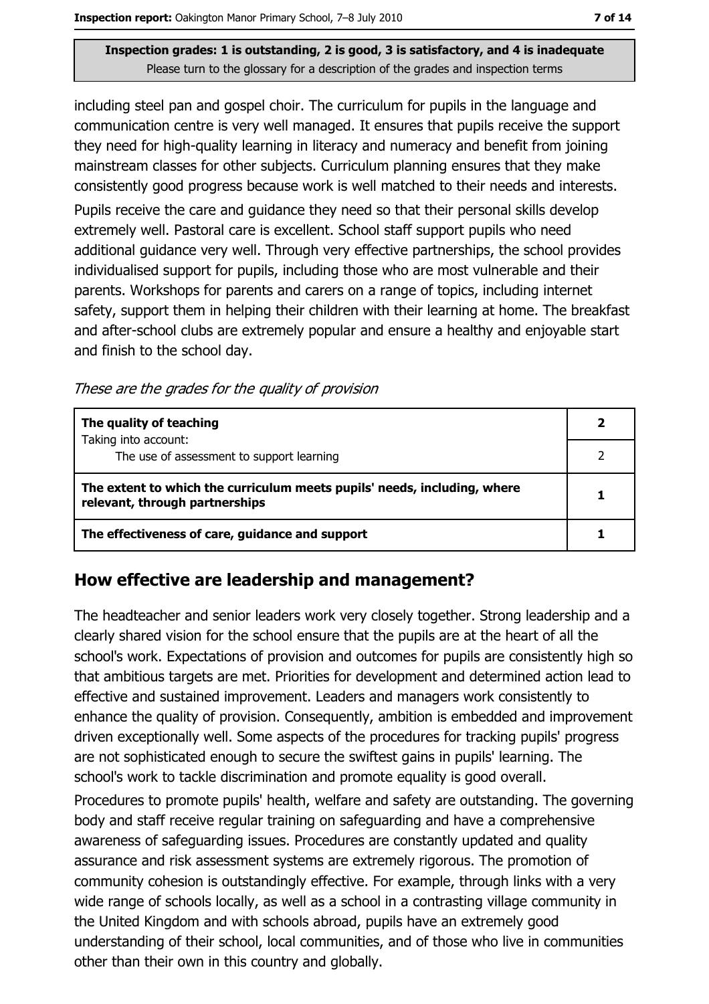including steel pan and gospel choir. The curriculum for pupils in the language and communication centre is very well managed. It ensures that pupils receive the support they need for high-quality learning in literacy and numeracy and benefit from joining mainstream classes for other subjects. Curriculum planning ensures that they make consistently good progress because work is well matched to their needs and interests.

Pupils receive the care and quidance they need so that their personal skills develop extremely well. Pastoral care is excellent. School staff support pupils who need additional guidance very well. Through very effective partnerships, the school provides individualised support for pupils, including those who are most vulnerable and their parents. Workshops for parents and carers on a range of topics, including internet safety, support them in helping their children with their learning at home. The breakfast and after-school clubs are extremely popular and ensure a healthy and enjoyable start and finish to the school day.

These are the grades for the quality of provision

| The quality of teaching                                                                                    |  |
|------------------------------------------------------------------------------------------------------------|--|
| Taking into account:<br>The use of assessment to support learning                                          |  |
| The extent to which the curriculum meets pupils' needs, including, where<br>relevant, through partnerships |  |
| The effectiveness of care, guidance and support                                                            |  |

#### How effective are leadership and management?

The headteacher and senior leaders work very closely together. Strong leadership and a clearly shared vision for the school ensure that the pupils are at the heart of all the school's work. Expectations of provision and outcomes for pupils are consistently high so that ambitious targets are met. Priorities for development and determined action lead to effective and sustained improvement. Leaders and managers work consistently to enhance the quality of provision. Consequently, ambition is embedded and improvement driven exceptionally well. Some aspects of the procedures for tracking pupils' progress are not sophisticated enough to secure the swiftest gains in pupils' learning. The school's work to tackle discrimination and promote equality is good overall.

Procedures to promote pupils' health, welfare and safety are outstanding. The governing body and staff receive regular training on safeguarding and have a comprehensive awareness of safeguarding issues. Procedures are constantly updated and quality assurance and risk assessment systems are extremely rigorous. The promotion of community cohesion is outstandingly effective. For example, through links with a very wide range of schools locally, as well as a school in a contrasting village community in the United Kingdom and with schools abroad, pupils have an extremely good understanding of their school, local communities, and of those who live in communities other than their own in this country and globally.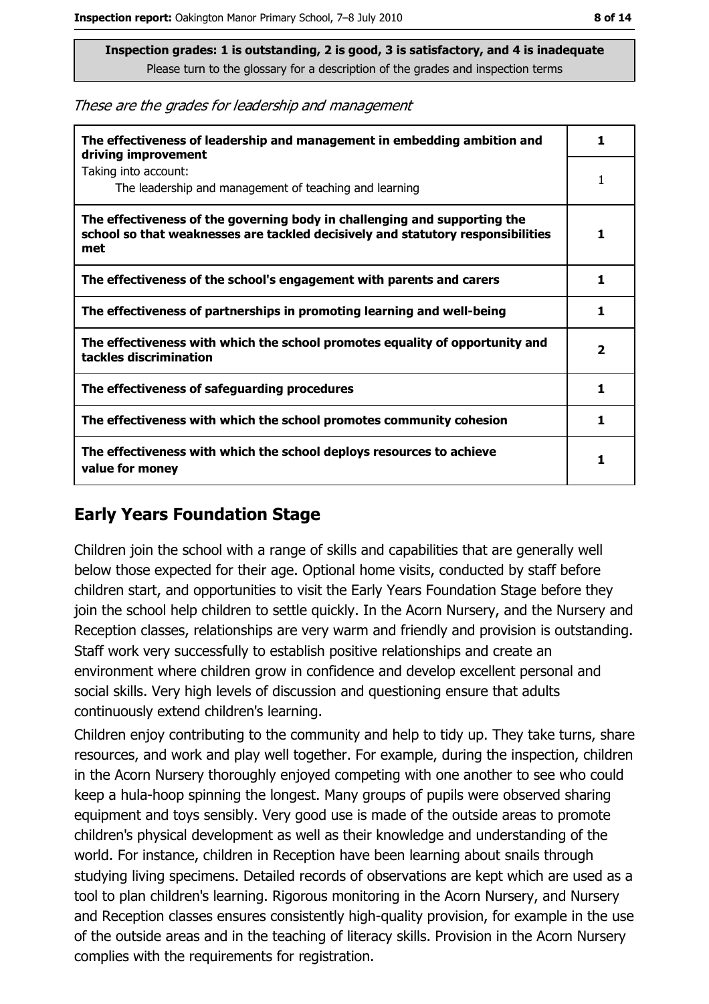These are the grades for leadership and management

| The effectiveness of leadership and management in embedding ambition and<br>driving improvement                                                                     |                         |  |
|---------------------------------------------------------------------------------------------------------------------------------------------------------------------|-------------------------|--|
| Taking into account:<br>The leadership and management of teaching and learning                                                                                      |                         |  |
| The effectiveness of the governing body in challenging and supporting the<br>school so that weaknesses are tackled decisively and statutory responsibilities<br>met | 1                       |  |
| The effectiveness of the school's engagement with parents and carers                                                                                                | 1                       |  |
| The effectiveness of partnerships in promoting learning and well-being                                                                                              | 1                       |  |
| The effectiveness with which the school promotes equality of opportunity and<br>tackles discrimination                                                              | $\overline{\mathbf{2}}$ |  |
| The effectiveness of safeguarding procedures                                                                                                                        | 1                       |  |
| The effectiveness with which the school promotes community cohesion                                                                                                 | 1                       |  |
| The effectiveness with which the school deploys resources to achieve<br>value for money                                                                             |                         |  |

## **Early Years Foundation Stage**

Children join the school with a range of skills and capabilities that are generally well below those expected for their age. Optional home visits, conducted by staff before children start, and opportunities to visit the Early Years Foundation Stage before they join the school help children to settle quickly. In the Acorn Nursery, and the Nursery and Reception classes, relationships are very warm and friendly and provision is outstanding. Staff work very successfully to establish positive relationships and create an environment where children grow in confidence and develop excellent personal and social skills. Very high levels of discussion and questioning ensure that adults continuously extend children's learning.

Children enjoy contributing to the community and help to tidy up. They take turns, share resources, and work and play well together. For example, during the inspection, children in the Acorn Nursery thoroughly enjoyed competing with one another to see who could keep a hula-hoop spinning the longest. Many groups of pupils were observed sharing equipment and toys sensibly. Very good use is made of the outside areas to promote children's physical development as well as their knowledge and understanding of the world. For instance, children in Reception have been learning about snails through studying living specimens. Detailed records of observations are kept which are used as a tool to plan children's learning. Rigorous monitoring in the Acorn Nursery, and Nursery and Reception classes ensures consistently high-quality provision, for example in the use of the outside areas and in the teaching of literacy skills. Provision in the Acorn Nursery complies with the requirements for registration.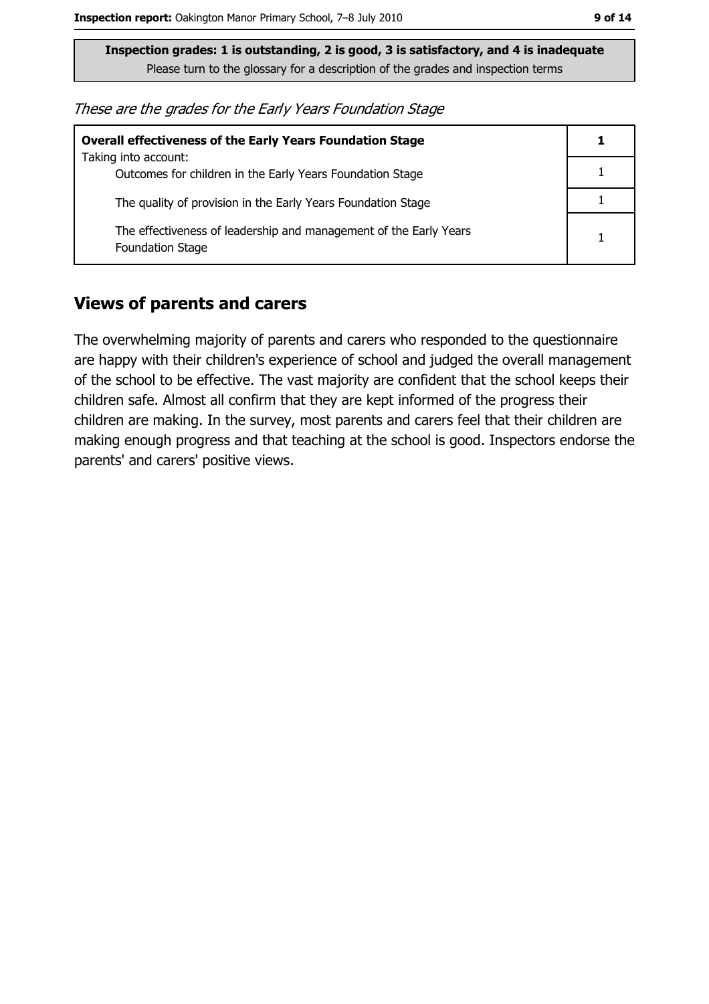These are the grades for the Early Years Foundation Stage

| <b>Overall effectiveness of the Early Years Foundation Stage</b>                             |  |  |
|----------------------------------------------------------------------------------------------|--|--|
| Taking into account:                                                                         |  |  |
| Outcomes for children in the Early Years Foundation Stage                                    |  |  |
| The quality of provision in the Early Years Foundation Stage                                 |  |  |
| The effectiveness of leadership and management of the Early Years<br><b>Foundation Stage</b> |  |  |

#### **Views of parents and carers**

The overwhelming majority of parents and carers who responded to the questionnaire are happy with their children's experience of school and judged the overall management of the school to be effective. The vast majority are confident that the school keeps their children safe. Almost all confirm that they are kept informed of the progress their children are making. In the survey, most parents and carers feel that their children are making enough progress and that teaching at the school is good. Inspectors endorse the parents' and carers' positive views.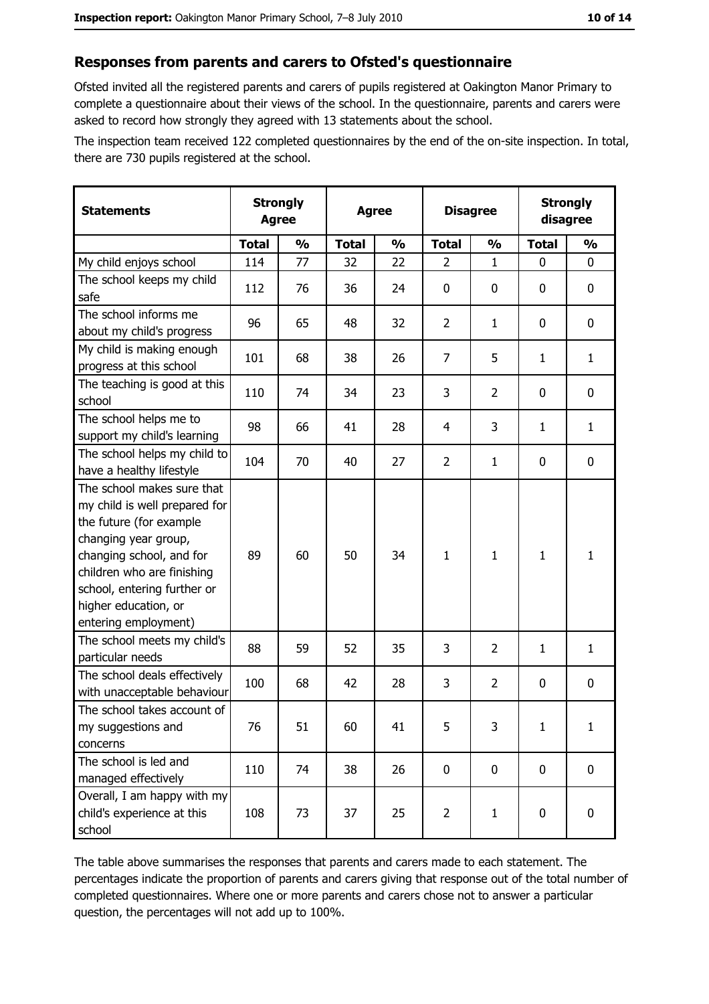#### Responses from parents and carers to Ofsted's questionnaire

Ofsted invited all the registered parents and carers of pupils registered at Oakington Manor Primary to complete a questionnaire about their views of the school. In the questionnaire, parents and carers were asked to record how strongly they agreed with 13 statements about the school.

The inspection team received 122 completed questionnaires by the end of the on-site inspection. In total, there are 730 pupils registered at the school.

| <b>Statements</b>                                                                                                                                                                                                                                       | <b>Strongly</b><br><b>Agree</b> |               |              | <b>Agree</b>  | <b>Disagree</b> |                | <b>Strongly</b><br>disagree |               |
|---------------------------------------------------------------------------------------------------------------------------------------------------------------------------------------------------------------------------------------------------------|---------------------------------|---------------|--------------|---------------|-----------------|----------------|-----------------------------|---------------|
|                                                                                                                                                                                                                                                         | <b>Total</b>                    | $\frac{1}{2}$ | <b>Total</b> | $\frac{0}{0}$ | <b>Total</b>    | $\frac{0}{0}$  | <b>Total</b>                | $\frac{1}{2}$ |
| My child enjoys school                                                                                                                                                                                                                                  | 114                             | 77            | 32           | 22            | $\overline{2}$  | $\mathbf{1}$   | $\Omega$                    | 0             |
| The school keeps my child<br>safe                                                                                                                                                                                                                       | 112                             | 76            | 36           | 24            | $\mathbf 0$     | 0              | $\mathbf{0}$                | 0             |
| The school informs me<br>about my child's progress                                                                                                                                                                                                      | 96                              | 65            | 48           | 32            | $\overline{2}$  | 1              | $\mathbf{0}$                | 0             |
| My child is making enough<br>progress at this school                                                                                                                                                                                                    | 101                             | 68            | 38           | 26            | $\overline{7}$  | 5              | $\mathbf{1}$                | $\mathbf{1}$  |
| The teaching is good at this<br>school                                                                                                                                                                                                                  | 110                             | 74            | 34           | 23            | 3               | $\overline{2}$ | 0                           | 0             |
| The school helps me to<br>support my child's learning                                                                                                                                                                                                   | 98                              | 66            | 41           | 28            | 4               | 3              | 1                           | $\mathbf{1}$  |
| The school helps my child to<br>have a healthy lifestyle                                                                                                                                                                                                | 104                             | 70            | 40           | 27            | $\overline{2}$  | $\mathbf{1}$   | 0                           | 0             |
| The school makes sure that<br>my child is well prepared for<br>the future (for example<br>changing year group,<br>changing school, and for<br>children who are finishing<br>school, entering further or<br>higher education, or<br>entering employment) | 89                              | 60            | 50           | 34            | $\mathbf{1}$    | $\mathbf{1}$   | $\mathbf{1}$                | $\mathbf{1}$  |
| The school meets my child's<br>particular needs                                                                                                                                                                                                         | 88                              | 59            | 52           | 35            | 3               | $\overline{2}$ | 1                           | $\mathbf{1}$  |
| The school deals effectively<br>with unacceptable behaviour                                                                                                                                                                                             | 100                             | 68            | 42           | 28            | 3               | $\overline{2}$ | 0                           | 0             |
| The school takes account of<br>my suggestions and<br>concerns                                                                                                                                                                                           | 76                              | 51            | 60           | 41            | 5               | 3              | 1                           | $\mathbf{1}$  |
| The school is led and<br>managed effectively                                                                                                                                                                                                            | 110                             | 74            | 38           | 26            | $\mathbf 0$     | 0              | 0                           | $\mathbf 0$   |
| Overall, I am happy with my<br>child's experience at this<br>school                                                                                                                                                                                     | 108                             | 73            | 37           | 25            | $\overline{2}$  | $\mathbf{1}$   | 0                           | 0             |

The table above summarises the responses that parents and carers made to each statement. The percentages indicate the proportion of parents and carers giving that response out of the total number of completed questionnaires. Where one or more parents and carers chose not to answer a particular question, the percentages will not add up to 100%.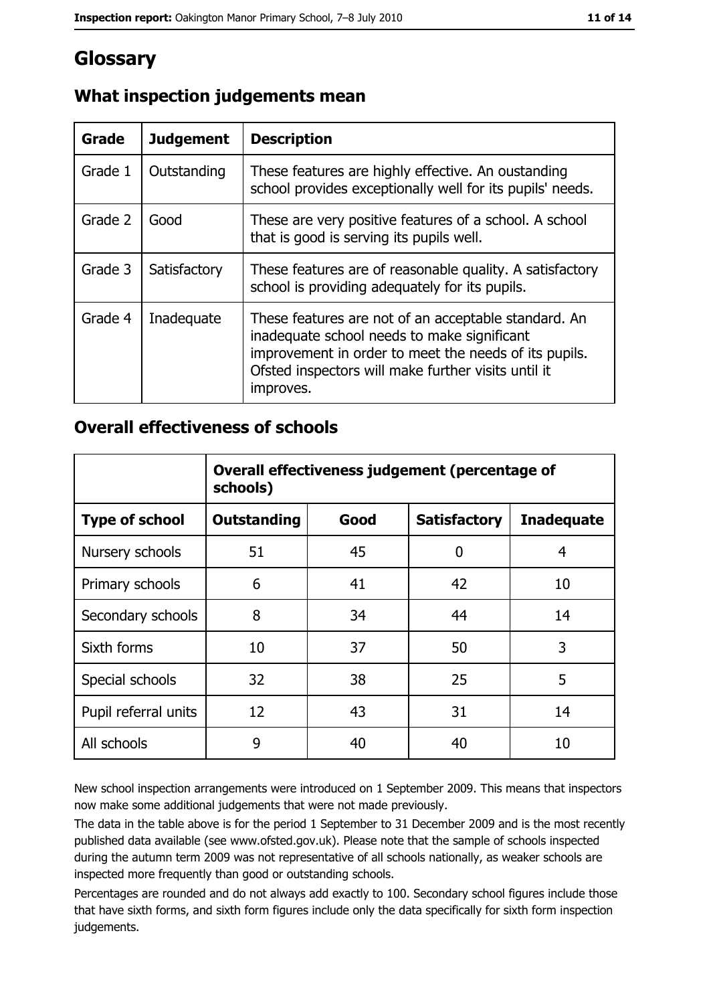# Glossary

| Grade   | <b>Judgement</b> | <b>Description</b>                                                                                                                                                                                                               |
|---------|------------------|----------------------------------------------------------------------------------------------------------------------------------------------------------------------------------------------------------------------------------|
| Grade 1 | Outstanding      | These features are highly effective. An oustanding<br>school provides exceptionally well for its pupils' needs.                                                                                                                  |
| Grade 2 | Good             | These are very positive features of a school. A school<br>that is good is serving its pupils well.                                                                                                                               |
| Grade 3 | Satisfactory     | These features are of reasonable quality. A satisfactory<br>school is providing adequately for its pupils.                                                                                                                       |
| Grade 4 | Inadequate       | These features are not of an acceptable standard. An<br>inadequate school needs to make significant<br>improvement in order to meet the needs of its pupils.<br>Ofsted inspectors will make further visits until it<br>improves. |

# What inspection judgements mean

## **Overall effectiveness of schools**

|                       | Overall effectiveness judgement (percentage of<br>schools) |      |                     |                   |  |  |
|-----------------------|------------------------------------------------------------|------|---------------------|-------------------|--|--|
| <b>Type of school</b> | <b>Outstanding</b>                                         | Good | <b>Satisfactory</b> | <b>Inadequate</b> |  |  |
| Nursery schools       | 51                                                         | 45   | 0                   | 4                 |  |  |
| Primary schools       | 6                                                          | 41   | 42                  | 10                |  |  |
| Secondary schools     | 8                                                          | 34   | 44                  | 14                |  |  |
| Sixth forms           | 10                                                         | 37   | 50                  | 3                 |  |  |
| Special schools       | 32                                                         | 38   | 25                  | 5                 |  |  |
| Pupil referral units  | 12                                                         | 43   | 31                  | 14                |  |  |
| All schools           | 9                                                          | 40   | 40                  | 10                |  |  |

New school inspection arrangements were introduced on 1 September 2009. This means that inspectors now make some additional judgements that were not made previously.

The data in the table above is for the period 1 September to 31 December 2009 and is the most recently published data available (see www.ofsted.gov.uk). Please note that the sample of schools inspected during the autumn term 2009 was not representative of all schools nationally, as weaker schools are inspected more frequently than good or outstanding schools.

Percentages are rounded and do not always add exactly to 100. Secondary school figures include those that have sixth forms, and sixth form figures include only the data specifically for sixth form inspection judgements.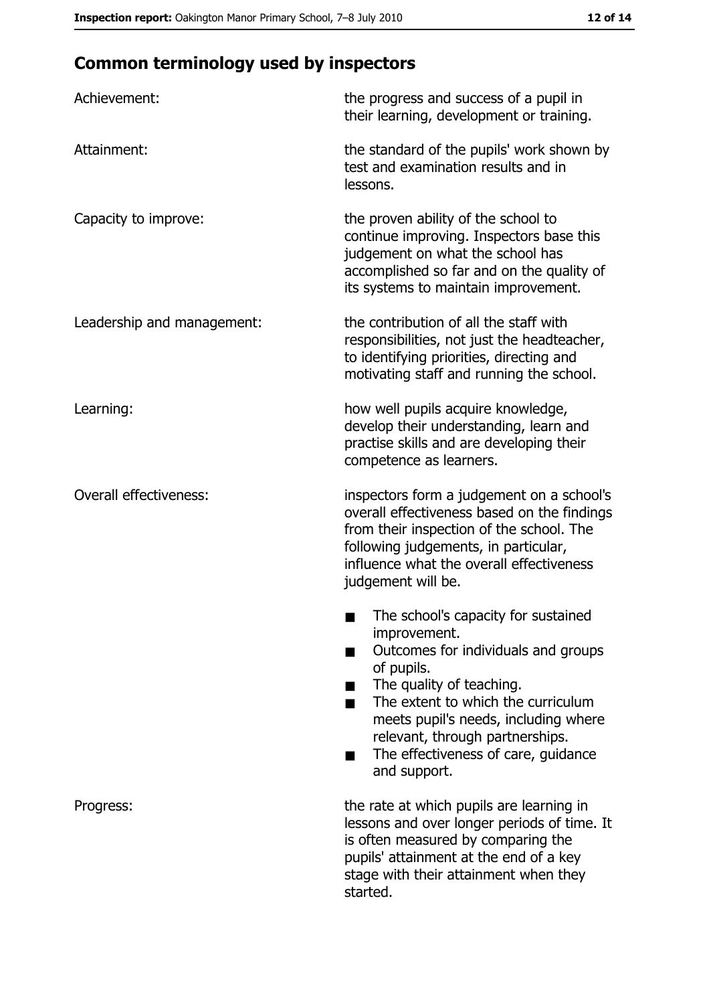# **Common terminology used by inspectors**

| Achievement:                  | the progress and success of a pupil in<br>their learning, development or training.                                                                                                                                                                                                                           |
|-------------------------------|--------------------------------------------------------------------------------------------------------------------------------------------------------------------------------------------------------------------------------------------------------------------------------------------------------------|
| Attainment:                   | the standard of the pupils' work shown by<br>test and examination results and in<br>lessons.                                                                                                                                                                                                                 |
| Capacity to improve:          | the proven ability of the school to<br>continue improving. Inspectors base this<br>judgement on what the school has<br>accomplished so far and on the quality of<br>its systems to maintain improvement.                                                                                                     |
| Leadership and management:    | the contribution of all the staff with<br>responsibilities, not just the headteacher,<br>to identifying priorities, directing and<br>motivating staff and running the school.                                                                                                                                |
| Learning:                     | how well pupils acquire knowledge,<br>develop their understanding, learn and<br>practise skills and are developing their<br>competence as learners.                                                                                                                                                          |
| <b>Overall effectiveness:</b> | inspectors form a judgement on a school's<br>overall effectiveness based on the findings<br>from their inspection of the school. The<br>following judgements, in particular,<br>influence what the overall effectiveness<br>judgement will be.                                                               |
|                               | The school's capacity for sustained<br>improvement.<br>Outcomes for individuals and groups<br>of pupils.<br>The quality of teaching.<br>The extent to which the curriculum<br>meets pupil's needs, including where<br>relevant, through partnerships.<br>The effectiveness of care, guidance<br>and support. |
| Progress:                     | the rate at which pupils are learning in<br>lessons and over longer periods of time. It<br>is often measured by comparing the<br>pupils' attainment at the end of a key<br>stage with their attainment when they<br>started.                                                                                 |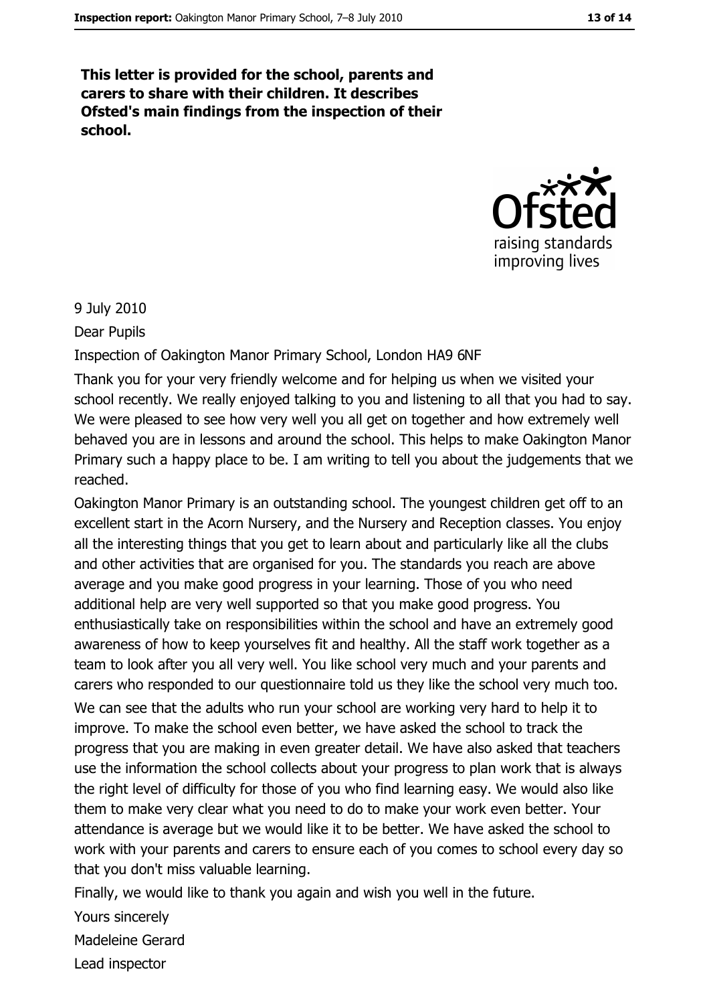This letter is provided for the school, parents and carers to share with their children. It describes Ofsted's main findings from the inspection of their school.



#### 9 July 2010

Dear Pupils

Inspection of Oakington Manor Primary School, London HA9 6NF

Thank you for your very friendly welcome and for helping us when we visited your school recently. We really enjoyed talking to you and listening to all that you had to say. We were pleased to see how very well you all get on together and how extremely well behaved you are in lessons and around the school. This helps to make Oakington Manor Primary such a happy place to be. I am writing to tell you about the judgements that we reached.

Oakington Manor Primary is an outstanding school. The youngest children get off to an excellent start in the Acorn Nursery, and the Nursery and Reception classes. You enjoy all the interesting things that you get to learn about and particularly like all the clubs and other activities that are organised for you. The standards you reach are above average and you make good progress in your learning. Those of you who need additional help are very well supported so that you make good progress. You enthusiastically take on responsibilities within the school and have an extremely good awareness of how to keep yourselves fit and healthy. All the staff work together as a team to look after you all very well. You like school very much and your parents and carers who responded to our questionnaire told us they like the school very much too.

We can see that the adults who run your school are working very hard to help it to improve. To make the school even better, we have asked the school to track the progress that you are making in even greater detail. We have also asked that teachers use the information the school collects about your progress to plan work that is always the right level of difficulty for those of you who find learning easy. We would also like them to make very clear what you need to do to make your work even better. Your attendance is average but we would like it to be better. We have asked the school to work with your parents and carers to ensure each of you comes to school every day so that you don't miss valuable learning.

Finally, we would like to thank you again and wish you well in the future.

Yours sincerely

Madeleine Gerard

Lead inspector